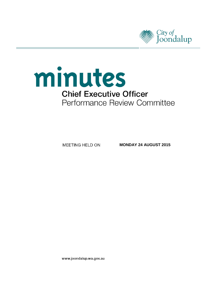



MEETING HELD ON

**MONDAY 24 AUGUST 2015**

www.joondalup.wa.gov.au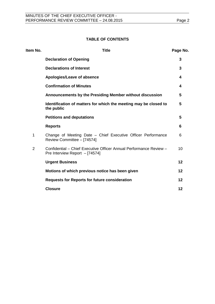## **TABLE OF CONTENTS**

| Item No.       | <b>Title</b>                                                                                         | Page No. |
|----------------|------------------------------------------------------------------------------------------------------|----------|
|                | <b>Declaration of Opening</b>                                                                        | 3        |
|                | <b>Declarations of Interest</b>                                                                      | 3        |
|                | Apologies/Leave of absence                                                                           | 4        |
|                | <b>Confirmation of Minutes</b>                                                                       | 4        |
|                | Announcements by the Presiding Member without discussion                                             | 5        |
|                | Identification of matters for which the meeting may be closed to<br>the public                       | 5        |
|                | <b>Petitions and deputations</b>                                                                     | 5        |
|                | <b>Reports</b>                                                                                       | 6        |
| 1              | Change of Meeting Date - Chief Executive Officer Performance<br>Review Committee - [74574]           | 6        |
| $\overline{2}$ | Confidential - Chief Executive Officer Annual Performance Review -<br>Pre Interview Report - [74574] | 10       |
|                | <b>Urgent Business</b>                                                                               | 12       |
|                | Motions of which previous notice has been given                                                      | 12       |
|                | <b>Requests for Reports for future consideration</b>                                                 | 12       |
|                | <b>Closure</b>                                                                                       | 12       |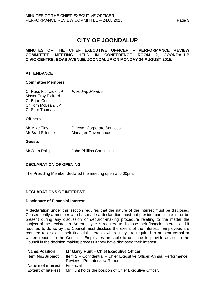# **CITY OF JOONDALUP**

**MINUTES OF THE CHIEF EXECUTIVE OFFICER – PERFORMANCE REVIEW** HELD IN CONFERENCE ROOM 2, JOONDALUP **CIVIC CENTRE, BOAS AVENUE, JOONDALUP ON MONDAY 24 AUGUST 2015.**

## **ATTENDANCE**

#### **Committee Members**

Cr Russ Fishwick, JP *Presiding Member* Mayor Troy Pickard Cr Brian Corr Cr Tom McLean, JP Cr Sam Thomas

#### **Officers**

| Mr Mike Tidy     | <b>Director Corporate Services</b> |
|------------------|------------------------------------|
| Mr Brad Sillence | <b>Manager Governance</b>          |

#### **Guests**

Mr John Phillips John Phillips Consulting

## <span id="page-2-0"></span>**DECLARATION OF OPENING**

The Presiding Member declared the meeting open at 6.00pm.

## <span id="page-2-1"></span>**DECLARATIONS OF INTEREST**

#### **Disclosure of Financial Interest**

A declaration under this section requires that the nature of the interest must be disclosed. Consequently a member who has made a declaration must not preside, participate in, or be present during any discussion or decision-making procedure relating to the matter the subject of the declaration. An employee is required to disclose their financial interest and if required to do so by the Council must disclose the extent of the interest. Employees are required to disclose their financial interests where they are required to present verbal or written reports to the Council. Employees are able to continue to provide advice to the Council in the decision making process if they have disclosed their interest.

| <b>Name/Position</b>      | Mr Garry Hunt - Chief Executive Officer.                           |
|---------------------------|--------------------------------------------------------------------|
| <b>Item No./Subject</b>   | Item 2 – Confidential – Chief Executive Officer Annual Performance |
|                           | Review – Pre Interview Report.                                     |
| <b>Nature of interest</b> | Financial.                                                         |
| <b>Extent of Interest</b> | Mr Hunt holds the position of Chief Executive Officer.             |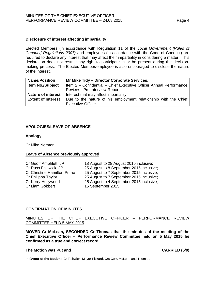### **Disclosure of interest affecting impartiality**

Elected Members (in accordance with Regulation 11 of the *Local Government [Rules of Conduct] Regulations 2007)* and employees (in accordance with the Code of Conduct) are required to declare any interest that may affect their impartiality in considering a matter. This declaration does not restrict any right to participate in or be present during the decisionmaking process. The Elected Member/employee is also encouraged to disclose the nature of the interest.

| <b>Name/Position</b>      | Mr Mike Tidy - Director Corporate Services.                                                  |  |  |
|---------------------------|----------------------------------------------------------------------------------------------|--|--|
| <b>Item No./Subject</b>   | Item 2 - Confidential - Chief Executive Officer Annual Performance                           |  |  |
|                           | Review - Pre Interview Report.                                                               |  |  |
| <b>Nature of interest</b> | Interest that may affect impartiality.                                                       |  |  |
| <b>Extent of Interest</b> | Due to the nature of his employment relationship with the Chief<br><b>Executive Officer.</b> |  |  |

#### <span id="page-3-0"></span>**APOLOGIES/LEAVE OF ABSENCE**

#### **Apology**

Cr Mike Norman

#### **Leave of Absence previously approved**

| Cr Geoff Amphlett, JP              | 18 August to 28 August 2015 inclusive;   |
|------------------------------------|------------------------------------------|
| Cr Russ Fishwick, JP               | 25 August to 8 September 2015 inclusive; |
| <b>Cr Christine Hamilton-Prime</b> | 25 August to 7 September 2015 inclusive; |
| Cr Philippa Taylor                 | 25 August to 7 September 2015 inclusive; |
| Cr Kerry Hollywood                 | 25 August to 4 September 2015 inclusive; |
| Cr Liam Gobbert                    | 15 September 2015.                       |

#### <span id="page-3-1"></span>**CONFIRMATION OF MINUTES**

#### MINUTES OF THE CHIEF EXECUTIVE OFFICER – PERFORMANCE REVIEW COMMITTEE HELD 5 MAY 2015

**MOVED Cr McLean, SECONDED Cr Thomas that the minutes of the meeting of the Chief Executive Officer – Performance Review Committee held on 5 May 2015 be confirmed as a true and correct record.**

#### **The Motion was Put and CARRIED (5/0)**

**In favour of the Motion:** Cr Fishwick, Mayor Pickard, Crs Corr, McLean and Thomas.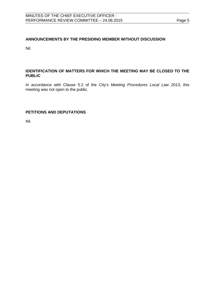## <span id="page-4-0"></span>**ANNOUNCEMENTS BY THE PRESIDING MEMBER WITHOUT DISCUSSION**

Nil.

## <span id="page-4-1"></span>**IDENTIFICATION OF MATTERS FOR WHICH THE MEETING MAY BE CLOSED TO THE PUBLIC**

In accordance with Clause 5.2 of the City's *Meeting Procedures Local Law 2013*, this meeting was not open to the public.

## <span id="page-4-2"></span>**PETITIONS AND DEPUTATIONS**

Nil.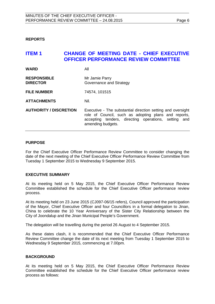<span id="page-5-0"></span>**REPORTS**

## <span id="page-5-1"></span>**ITEM 1 CHANGE OF MEETING DATE - CHIEF EXECUTIVE OFFICER PERFORMANCE REVIEW COMMITTEE**

| <b>WARD</b>                           | All                                                                                                                                                                                                 |
|---------------------------------------|-----------------------------------------------------------------------------------------------------------------------------------------------------------------------------------------------------|
| <b>RESPONSIBLE</b><br><b>DIRECTOR</b> | Mr Jamie Parry<br>Governance and Strategy                                                                                                                                                           |
| <b>FILE NUMBER</b>                    | 74574, 101515                                                                                                                                                                                       |
| <b>ATTACHMENTS</b>                    | Nil.                                                                                                                                                                                                |
| <b>AUTHORITY / DISCRETION</b>         | Executive - The substantial direction setting and oversight<br>role of Council, such as adopting plans and reports,<br>accepting tenders, directing operations, setting<br>and<br>amending budgets. |

## **PURPOSE**

For the Chief Executive Officer Performance Review Committee to consider changing the date of the next meeting of the Chief Executive Officer Performance Review Committee from Tuesday 1 September 2015 to Wednesday 9 September 2015.

## **EXECUTIVE SUMMARY**

At its meeting held on 5 May 2015, the Chief Executive Officer Performance Review Committee established the schedule for the Chief Executive Officer performance review process.

At its meeting held on 23 June 2015 (CJ097-06/15 refers), Council approved the participation of the Mayor, Chief Executive Officer and four Councillors in a formal delegation to Jinan, China to celebrate the 10 Year Anniversary of the Sister City Relationship between the City of Joondalup and the Jinan Municipal People's Government.

The delegation will be travelling during the period 26 August to 4 September 2015.

As these dates clash, it is recommended that the Chief Executive Officer Performance Review Committee change the date of its next meeting from Tuesday 1 September 2015 to Wednesday 9 September 2015, commencing at 7.00pm.

## **BACKGROUND**

At its meeting held on 5 May 2015, the Chief Executive Officer Performance Review Committee established the schedule for the Chief Executive Officer performance review process as follows: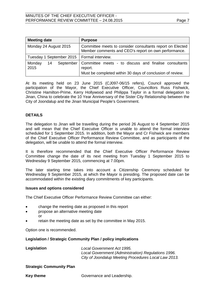| <b>Meeting date</b>                          | <b>Purpose</b>                                                                                                                            |  |
|----------------------------------------------|-------------------------------------------------------------------------------------------------------------------------------------------|--|
| Monday 24 August 2015                        | Committee meets to consider consultants report on Elected<br>Member comments and CEO's report on own performance.                         |  |
| Tuesday 1 September 2015   Formal interview. |                                                                                                                                           |  |
| Monday<br>14<br>2015                         | September   Committee meets - to discuss and finalise consultants<br>report.<br>Must be completed within 30 days of conclusion of review. |  |

At its meeting held on 23 June 2015 (CJ097-06/15 refers), Council approved the participation of the Mayor, the Chief Executive Officer, Councillors Russ Fishwick, Christine Hamilton-Prime, Kerry Hollywood and Philippa Taylor in a formal delegation to Jinan, China to celebrate the 10 Year Anniversary of the Sister City Relationship between the City of Joondalup and the Jinan Municipal People's Government.

## **DETAILS**

The delegation to Jinan will be travelling during the period 26 August to 4 September 2015 and will mean that the Chief Executive Officer is unable to attend the formal interview scheduled for 1 September 2015. In addition, both the Mayor and Cr Fishwick are members of the Chief Executive Officer Performance Review Committee, and as participants of the delegation, will be unable to attend the formal interview.

It is therefore recommended that the Chief Executive Officer Performance Review Committee change the date of its next meeting from Tuesday 1 September 2015 to Wednesday 9 September 2015, commencing at 7.00pm.

The later starting time takes into account a Citizenship Ceremony scheduled for Wednesday 9 September 2015, at which the Mayor is presiding. The proposed date can be accommodated within the existing diary commitments of key participants.

#### **Issues and options considered**

The Chief Executive Officer Performance Review Committee can either:

- change the meeting date as proposed in this report
- propose an alternative meeting date or
- retain the meeting date as set by the committee in May 2015.

Option one is recommended.

#### **Legislation / Strategic Community Plan / policy implications**

| Legislation |  |  |
|-------------|--|--|
|             |  |  |

**Legislation** *Local Government Act 1995. Local Government (Administration) Regulations 1996. City of Joondalup Meeting Procedures Local Law 2013.*

#### **Strategic Community Plan**

**Key theme** Governance and Leadership.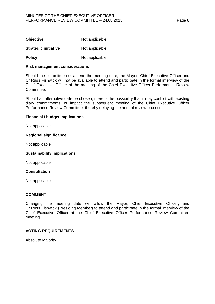| <b>Objective</b>            | Not applicable. |
|-----------------------------|-----------------|
| <b>Strategic initiative</b> | Not applicable. |

**Policy** Not applicable.

#### **Risk management considerations**

Should the committee not amend the meeting date, the Mayor, Chief Executive Officer and Cr Russ Fishwick will not be available to attend and participate in the formal interview of the Chief Executive Officer at the meeting of the Chief Executive Officer Performance Review Committee.

Should an alternative date be chosen, there is the possibility that it may conflict with existing diary commitments, or impact the subsequent meeting of the Chief Executive Officer Performance Review Committee, thereby delaying the annual review process.

## **Financial / budget implications**

Not applicable.

#### **Regional significance**

Not applicable.

#### **Sustainability implications**

Not applicable.

## **Consultation**

Not applicable.

## **COMMENT**

Changing the meeting date will allow the Mayor, Chief Executive Officer, and Cr Russ Fishwick (Presiding Member) to attend and participate in the formal interview of the Chief Executive Officer at the Chief Executive Officer Performance Review Committee meeting.

## **VOTING REQUIREMENTS**

Absolute Majority.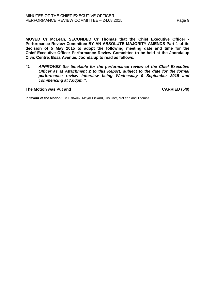**MOVED Cr McLean, SECONDED Cr Thomas that the Chief Executive Officer - Performance Review Committee BY AN ABSOLUTE MAJORITY AMENDS Part 1 of its decision of 5 May 2015 to adopt the following meeting date and time for the Chief Executive Officer Performance Review Committee to be held at the Joondalup Civic Centre, Boas Avenue, Joondalup to read as follows:**

*"1 APPROVES the timetable for the performance review of the Chief Executive Officer as at Attachment 2 to this Report, subject to the date for the formal performance review interview being Wednesday 9 September 2015 and commencing at 7.00pm;".*

#### **The Motion was Put and CARRIED (5/0)**

**In favour of the Motion:** Cr Fishwick, Mayor Pickard, Crs Corr, McLean and Thomas.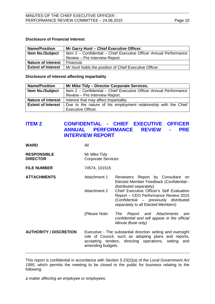## **Disclosure of Financial Interest**

| <b>Name/Position</b>      | Mr Garry Hunt - Chief Executive Officer.                           |
|---------------------------|--------------------------------------------------------------------|
| <b>Item No./Subject</b>   | Item 2 - Confidential - Chief Executive Officer Annual Performance |
|                           | Review – Pre Interview Report.                                     |
| <b>Nature of interest</b> | Financial.                                                         |
| <b>Extent of Interest</b> | Mr Hunt holds the position of Chief Executive Officer.             |

#### **Disclosure of interest affecting impartiality**

| <b>Name/Position</b>      | Mr Mike Tidy - Director Corporate Services.                        |  |  |
|---------------------------|--------------------------------------------------------------------|--|--|
| <b>Item No./Subject</b>   | Item 2 - Confidential - Chief Executive Officer Annual Performance |  |  |
|                           | Review - Pre Interview Report.                                     |  |  |
| <b>Nature of interest</b> | Interest that may affect impartiality.                             |  |  |
| <b>Extent of Interest</b> | Due to the nature of his employment relationship with the Chief    |  |  |
|                           | Executive Officer.                                                 |  |  |

## <span id="page-9-0"></span>**ITEM 2 CONFIDENTIAL - CHIEF EXECUTIVE OFFICER PERFORMANCE REVIEW -INTERVIEW REPORT**

**WARD** All

| <b>RESPONSIBLE</b> | Mr Mike Tidy              |
|--------------------|---------------------------|
| <b>DIRECTOR</b>    | <b>Corporate Services</b> |

**FILE NUMBER** 74574, 101515

- ATTACHMENTS **Attachment 1** Reviewers Report by Consultant on
	- Elected Member Feedback (Confidential distributed separately) Attachment 2 Chief Executive Officer's Self Evaluation Report – CEO Performance Review 2015 (Confidential – previously distributed

*(Please Note: The Report and Attachments are confidential and will appear in the official Minute Book only)*

separately to all Elected Members)

**AUTHORITY / DISCRETION** Executive - The substantial direction setting and oversight role of Council, such as adopting plans and reports, accepting tenders, directing operations, setting and amending budgets.

This report is confidential in accordance with Section 5.23(2)(a) of the *Local Government Act 1995*, which permits the meeting to be closed to the public for business relating to the following:

*a matter affecting an employee or employees.*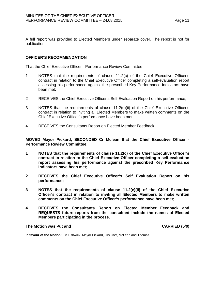A full report was provided to Elected Members under separate cover. The report is not for publication.

## **OFFICER'S RECOMMENDATION**

That the Chief Executive Officer - Performance Review Committee:

- 1 NOTES that the requirements of clause 11.2(c) of the Chief Executive Officer's contract in relation to the Chief Executive Officer completing a self-evaluation report assessing his performance against the prescribed Key Performance Indicators have been met;
- 2 RECEIVES the Chief Executive Officer's Self Evaluation Report on his performance;
- 3 NOTES that the requirements of clause 11.2(e)(ii) of the Chief Executive Officer's contract in relation to inviting all Elected Members to make written comments on the Chief Executive Officer's performance have been met;
- 4 RECEIVES the Consultants Report on Elected Member Feedback.

**MOVED Mayor Pickard, SECONDED Cr Mclean that the Chief Executive Officer - Performance Review Committee:**

- **1 NOTES that the requirements of clause 11.2(c) of the Chief Executive Officer's contract in relation to the Chief Executive Officer completing a self-evaluation report assessing his performance against the prescribed Key Performance Indicators have been met;**
- **2 RECEIVES the Chief Executive Officer's Self Evaluation Report on his performance;**
- **3 NOTES that the requirements of clause 11.2(e)(ii) of the Chief Executive Officer's contract in relation to inviting all Elected Members to make written comments on the Chief Executive Officer's performance have been met;**
- **4 RECEIVES the Consultants Report on Elected Member Feedback and REQUESTS future reports from the consultant include the names of Elected Members participating in the process.**

#### **The Motion was Put and CARRIED (5/0)**

**In favour of the Motion:** Cr Fishwick, Mayor Pickard, Crs Corr, McLean and Thomas.